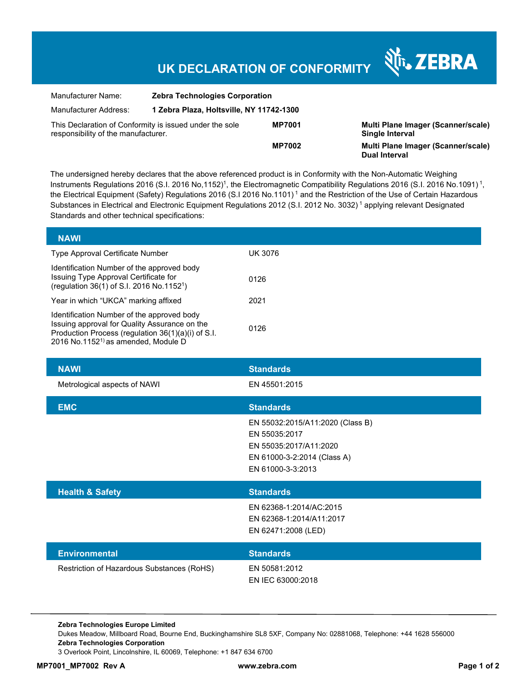## **UK DECLARATION OF CONFORMITY**

| Manufacturer Name:                                                                                              | <b>Zebra Technologies Corporation</b>    |               |
|-----------------------------------------------------------------------------------------------------------------|------------------------------------------|---------------|
| Manufacturer Address:                                                                                           | 1 Zebra Plaza, Holtsville, NY 11742-1300 |               |
| This Declaration of Conformity is issued under the sole<br><b>MP7001</b><br>responsibility of the manufacturer. |                                          |               |
|                                                                                                                 |                                          | <b>MP7002</b> |

**MP7001 Multi Plane Imager (Scanner/scale) Single Interval Multi Plane Imager (Scanner/scale) Dual Interval**

र्शे<sub>ं</sub> ZEBRA

The undersigned hereby declares that the above referenced product is in Conformity with the Non-Automatic Weighing Instruments Regulations 2016 (S.I. 2016 No,1152)<sup>1</sup>, the Electromagnetic Compatibility Regulations 2016 (S.I. 2016 No.1091)<sup>1</sup>, the Electrical Equipment (Safety) Regulations 2016 (S.I 2016 No.1101)<sup>1</sup> and the Restriction of the Use of Certain Hazardous Substances in Electrical and Electronic Equipment Regulations 2012 (S.I. 2012 No. 3032)<sup>1</sup> applying relevant Designated Standards and other technical specifications:

| <b>NAWI</b>                                                                                                                                                                                          |         |
|------------------------------------------------------------------------------------------------------------------------------------------------------------------------------------------------------|---------|
| Type Approval Certificate Number                                                                                                                                                                     | UK 3076 |
| Identification Number of the approved body<br>Issuing Type Approval Certificate for<br>(regulation 36(1) of S.I. 2016 No.1152 <sup>1</sup> )                                                         | 0126    |
| Year in which "UKCA" marking affixed                                                                                                                                                                 | 2021    |
| Identification Number of the approved body<br>Issuing approval for Quality Assurance on the<br>Production Process (regulation 36(1)(a)(i) of S.I.<br>2016 No.1152 <sup>1)</sup> as amended, Module D | 0126    |

| <b>NAWI</b>                                | <b>Standards</b>                                                                                                                |
|--------------------------------------------|---------------------------------------------------------------------------------------------------------------------------------|
| Metrological aspects of NAWI               | EN 45501:2015                                                                                                                   |
| <b>EMC</b>                                 | <b>Standards</b>                                                                                                                |
|                                            | EN 55032:2015/A11:2020 (Class B)<br>EN 55035:2017<br>EN 55035:2017/A11:2020<br>EN 61000-3-2:2014 (Class A)<br>EN 61000-3-3:2013 |
| <b>Health &amp; Safety</b>                 | <b>Standards</b>                                                                                                                |
|                                            | EN 62368-1:2014/AC:2015<br>EN 62368-1:2014/A11:2017<br>EN 62471:2008 (LED)                                                      |
| <b>Environmental</b>                       | <b>Standards</b>                                                                                                                |
| Restriction of Hazardous Substances (RoHS) | EN 50581:2012                                                                                                                   |

EN IEC 63000:2018

**Zebra Technologies Europe Limited** 

Dukes Meadow, Millboard Road, Bourne End, Buckinghamshire SL8 5XF, Company No: 02881068, Telephone: +44 1628 556000 **Zebra Technologies Corporation** 

3 Overlook Point, Lincolnshire, IL 60069, Telephone: +1 847 634 6700